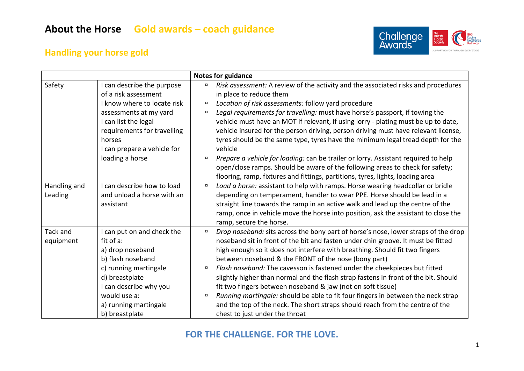

### **Handling your horse gold**

|                         |                                                                                                                                                                                                                                | <b>Notes for guidance</b>                                                                                                                                                                                                                                                                                                                                                                                                                                                                                                                                                                                                                                                                                                                                                             |
|-------------------------|--------------------------------------------------------------------------------------------------------------------------------------------------------------------------------------------------------------------------------|---------------------------------------------------------------------------------------------------------------------------------------------------------------------------------------------------------------------------------------------------------------------------------------------------------------------------------------------------------------------------------------------------------------------------------------------------------------------------------------------------------------------------------------------------------------------------------------------------------------------------------------------------------------------------------------------------------------------------------------------------------------------------------------|
| Safety                  | I can describe the purpose<br>of a risk assessment<br>I know where to locate risk<br>assessments at my yard<br>I can list the legal<br>requirements for travelling<br>horses<br>I can prepare a vehicle for<br>loading a horse | Risk assessment: A review of the activity and the associated risks and procedures<br>$\Box$<br>in place to reduce them<br>Location of risk assessments: follow yard procedure<br>$\Box$<br>Legal requirements for travelling: must have horse's passport, if towing the<br>$\Box$<br>vehicle must have an MOT if relevant, if using lorry - plating must be up to date,<br>vehicle insured for the person driving, person driving must have relevant license,<br>tyres should be the same type, tyres have the minimum legal tread depth for the<br>vehicle<br>Prepare a vehicle for loading: can be trailer or lorry. Assistant required to help<br>$\Box$<br>open/close ramps. Should be aware of the following areas to check for safety;                                          |
| Handling and<br>Leading | I can describe how to load<br>and unload a horse with an<br>assistant                                                                                                                                                          | flooring, ramp, fixtures and fittings, partitions, tyres, lights, loading area<br>Load a horse: assistant to help with ramps. Horse wearing headcollar or bridle<br>$\Box$<br>depending on temperament, handler to wear PPE. Horse should be lead in a<br>straight line towards the ramp in an active walk and lead up the centre of the<br>ramp, once in vehicle move the horse into position, ask the assistant to close the<br>ramp, secure the horse.                                                                                                                                                                                                                                                                                                                             |
| Tack and<br>equipment   | I can put on and check the<br>fit of a:<br>a) drop noseband<br>b) flash noseband<br>c) running martingale<br>d) breastplate<br>I can describe why you<br>would use a:<br>a) running martingale<br>b) breastplate               | Drop noseband: sits across the bony part of horse's nose, lower straps of the drop<br>$\Box$<br>noseband sit in front of the bit and fasten under chin groove. It must be fitted<br>high enough so it does not interfere with breathing. Should fit two fingers<br>between noseband & the FRONT of the nose (bony part)<br>Flash noseband: The cavesson is fastened under the cheekpieces but fitted<br>$\Box$<br>slightly higher than normal and the flash strap fastens in front of the bit. Should<br>fit two fingers between noseband & jaw (not on soft tissue)<br>Running martingale: should be able to fit four fingers in between the neck strap<br>$\Box$<br>and the top of the neck. The short straps should reach from the centre of the<br>chest to just under the throat |

#### **FOR THE CHALLENGE. FOR THE LOVE.**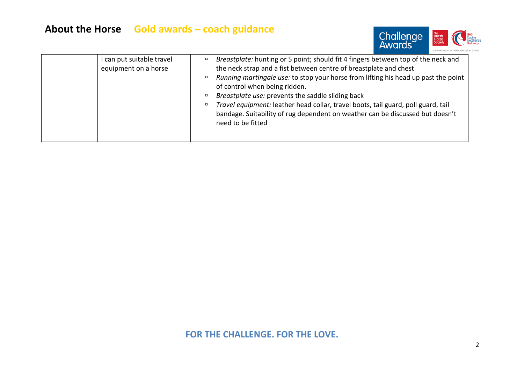# **About the Horse Gold awards – coach guidance**



| can put suitable travel<br>equipment on a horse | Breastplate: hunting or 5 point; should fit 4 fingers between top of the neck and<br>the neck strap and a fist between centre of breastplate and chest<br>Running martingale use: to stop your horse from lifting his head up past the point<br>$\Box$<br>of control when being ridden.<br>Breastplate use: prevents the saddle sliding back<br>Travel equipment: leather head collar, travel boots, tail guard, poll guard, tail<br>о<br>bandage. Suitability of rug dependent on weather can be discussed but doesn't<br>need to be fitted |
|-------------------------------------------------|----------------------------------------------------------------------------------------------------------------------------------------------------------------------------------------------------------------------------------------------------------------------------------------------------------------------------------------------------------------------------------------------------------------------------------------------------------------------------------------------------------------------------------------------|
|-------------------------------------------------|----------------------------------------------------------------------------------------------------------------------------------------------------------------------------------------------------------------------------------------------------------------------------------------------------------------------------------------------------------------------------------------------------------------------------------------------------------------------------------------------------------------------------------------------|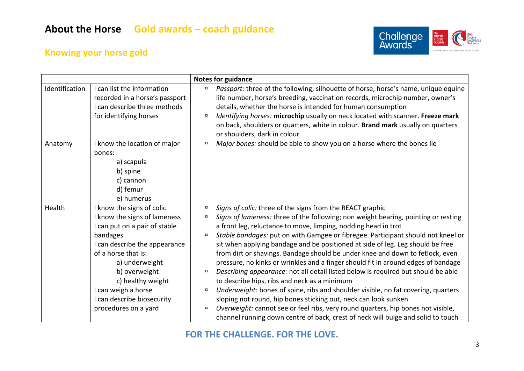

## **Knowing your horse gold**

|                |                                                                                                                                                                                                                                                                                                     | Notes for guidance                                                                                                                                                                                                                                                                                                                                                                                                                                                                                                                                                                                                                                                                                                                                                                                                                                                                                                                                                                                                                                                                        |
|----------------|-----------------------------------------------------------------------------------------------------------------------------------------------------------------------------------------------------------------------------------------------------------------------------------------------------|-------------------------------------------------------------------------------------------------------------------------------------------------------------------------------------------------------------------------------------------------------------------------------------------------------------------------------------------------------------------------------------------------------------------------------------------------------------------------------------------------------------------------------------------------------------------------------------------------------------------------------------------------------------------------------------------------------------------------------------------------------------------------------------------------------------------------------------------------------------------------------------------------------------------------------------------------------------------------------------------------------------------------------------------------------------------------------------------|
| Identification | I can list the information<br>recorded in a horse's passport<br>I can describe three methods<br>for identifying horses                                                                                                                                                                              | Passport: three of the following; silhouette of horse, horse's name, unique equine<br>$\Box$<br>life number, horse's breeding, vaccination records, microchip number, owner's<br>details, whether the horse is intended for human consumption<br>Identifying horses: microchip usually on neck located with scanner. Freeze mark<br>$\Box$<br>on back, shoulders or quarters, white in colour. Brand mark usually on quarters<br>or shoulders, dark in colour                                                                                                                                                                                                                                                                                                                                                                                                                                                                                                                                                                                                                             |
| Anatomy        | I know the location of major<br>bones:<br>a) scapula<br>b) spine<br>c) cannon<br>d) femur<br>e) humerus                                                                                                                                                                                             | Major bones: should be able to show you on a horse where the bones lie<br>$\Box$                                                                                                                                                                                                                                                                                                                                                                                                                                                                                                                                                                                                                                                                                                                                                                                                                                                                                                                                                                                                          |
| Health         | I know the signs of colic<br>I know the signs of lameness<br>I can put on a pair of stable<br>bandages<br>I can describe the appearance<br>of a horse that is:<br>a) underweight<br>b) overweight<br>c) healthy weight<br>I can weigh a horse<br>I can describe biosecurity<br>procedures on a yard | Signs of colic: three of the signs from the REACT graphic<br>$\Box$<br>Signs of lameness: three of the following; non weight bearing, pointing or resting<br>$\Box$<br>a front leg, reluctance to move, limping, nodding head in trot<br>Stable bandages: put on with Gamgee or fibregee. Participant should not kneel or<br>о<br>sit when applying bandage and be positioned at side of leg. Leg should be free<br>from dirt or shavings. Bandage should be under knee and down to fetlock, even<br>pressure, no kinks or wrinkles and a finger should fit in around edges of bandage<br>Describing appearance: not all detail listed below is required but should be able<br>$\Box$<br>to describe hips, ribs and neck as a minimum<br>Underweight: bones of spine, ribs and shoulder visible, no fat covering, quarters<br>$\Box$<br>sloping not round, hip bones sticking out, neck can look sunken<br>Overweight: cannot see or feel ribs, very round quarters, hip bones not visible,<br>$\Box$<br>channel running down centre of back, crest of neck will bulge and solid to touch |

#### **FOR THE CHALLENGE. FOR THE LOVE.**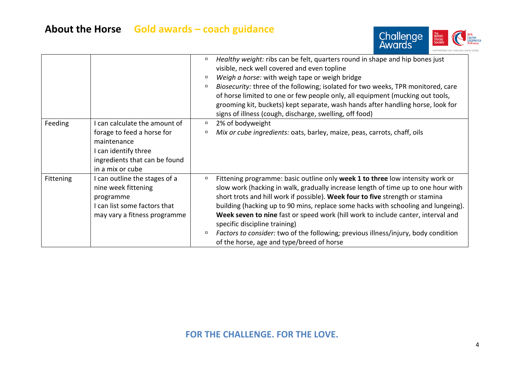

|           |                                                                                                                                                       | Healthy weight: ribs can be felt, quarters round in shape and hip bones just<br>0<br>visible, neck well covered and even topline<br>Weigh a horse: with weigh tape or weigh bridge<br>$\Box$<br>Biosecurity: three of the following; isolated for two weeks, TPR monitored, care<br>$\Box$<br>of horse limited to one or few people only, all equipment (mucking out tools,<br>grooming kit, buckets) kept separate, wash hands after handling horse, look for<br>signs of illness (cough, discharge, swelling, off food)                                                                                    |
|-----------|-------------------------------------------------------------------------------------------------------------------------------------------------------|--------------------------------------------------------------------------------------------------------------------------------------------------------------------------------------------------------------------------------------------------------------------------------------------------------------------------------------------------------------------------------------------------------------------------------------------------------------------------------------------------------------------------------------------------------------------------------------------------------------|
| Feeding   | can calculate the amount of<br>forage to feed a horse for<br>maintenance<br>I can identify three<br>ingredients that can be found<br>in a mix or cube | 2% of bodyweight<br>$\Box$<br>Mix or cube ingredients: oats, barley, maize, peas, carrots, chaff, oils<br>α                                                                                                                                                                                                                                                                                                                                                                                                                                                                                                  |
| Fittening | can outline the stages of a<br>nine week fittening<br>programme<br>I can list some factors that<br>may vary a fitness programme                       | Fittening programme: basic outline only week 1 to three low intensity work or<br>α<br>slow work (hacking in walk, gradually increase length of time up to one hour with<br>short trots and hill work if possible). Week four to five strength or stamina<br>building (hacking up to 90 mins, replace some hacks with schooling and lungeing).<br>Week seven to nine fast or speed work (hill work to include canter, interval and<br>specific discipline training)<br><i>Factors to consider:</i> two of the following; previous illness/injury, body condition<br>of the horse, age and type/breed of horse |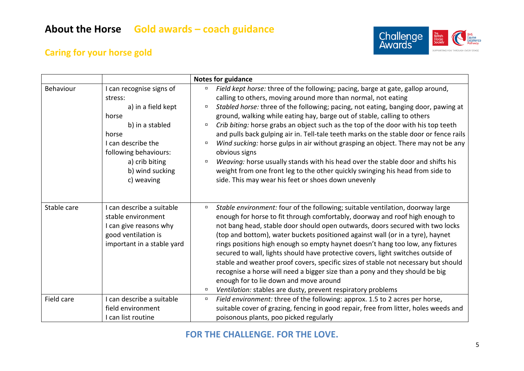

## **Caring for your horse gold**

|             |                                                                                                                                                                                                  | <b>Notes for guidance</b>                                                                                                                                                                                                                                                                                                                                                                                                                                                                                                                                                                                                                                                                                                                                                                                                                                                        |
|-------------|--------------------------------------------------------------------------------------------------------------------------------------------------------------------------------------------------|----------------------------------------------------------------------------------------------------------------------------------------------------------------------------------------------------------------------------------------------------------------------------------------------------------------------------------------------------------------------------------------------------------------------------------------------------------------------------------------------------------------------------------------------------------------------------------------------------------------------------------------------------------------------------------------------------------------------------------------------------------------------------------------------------------------------------------------------------------------------------------|
| Behaviour   | I can recognise signs of<br>stress:<br>a) in a field kept<br>horse<br>b) in a stabled<br>horse<br>I can describe the<br>following behaviours:<br>a) crib biting<br>b) wind sucking<br>c) weaving | Field kept horse: three of the following; pacing, barge at gate, gallop around,<br>O.<br>calling to others, moving around more than normal, not eating<br>Stabled horse: three of the following; pacing, not eating, banging door, pawing at<br>$\Box$<br>ground, walking while eating hay, barge out of stable, calling to others<br>Crib biting: horse grabs an object such as the top of the door with his top teeth<br>$\Box$<br>and pulls back gulping air in. Tell-tale teeth marks on the stable door or fence rails<br>Wind sucking: horse gulps in air without grasping an object. There may not be any<br>$\Box$<br>obvious signs<br>Weaving: horse usually stands with his head over the stable door and shifts his<br>$\Box$<br>weight from one front leg to the other quickly swinging his head from side to<br>side. This may wear his feet or shoes down unevenly |
| Stable care | I can describe a suitable<br>stable environment<br>I can give reasons why<br>good ventilation is<br>important in a stable yard                                                                   | Stable environment: four of the following; suitable ventilation, doorway large<br>$\Box$<br>enough for horse to fit through comfortably, doorway and roof high enough to<br>not bang head, stable door should open outwards, doors secured with two locks<br>(top and bottom), water buckets positioned against wall (or in a tyre), haynet<br>rings positions high enough so empty haynet doesn't hang too low, any fixtures<br>secured to wall, lights should have protective covers, light switches outside of<br>stable and weather proof covers, specific sizes of stable not necessary but should<br>recognise a horse will need a bigger size than a pony and they should be big<br>enough for to lie down and move around<br>Ventilation: stables are dusty, prevent respiratory problems<br>$\Box$                                                                      |
| Field care  | I can describe a suitable<br>field environment<br>I can list routine                                                                                                                             | Field environment: three of the following: approx. 1.5 to 2 acres per horse,<br>$\Box$<br>suitable cover of grazing, fencing in good repair, free from litter, holes weeds and<br>poisonous plants, poo picked regularly                                                                                                                                                                                                                                                                                                                                                                                                                                                                                                                                                                                                                                                         |

#### **FOR THE CHALLENGE. FOR THE LOVE.**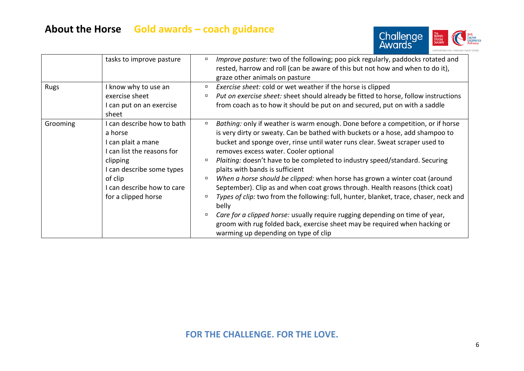# **About the Horse Gold awards – coach guidance**



|             | tasks to improve pasture                                                                                                                                                                         | <i>Improve pasture:</i> two of the following; poo pick regularly, paddocks rotated and<br>$\Box$<br>rested, harrow and roll (can be aware of this but not how and when to do it),<br>graze other animals on pasture                                                                                                                                                                                                                                                                                                                                                                                                                                                                                                                                                                                                                                                                                       |
|-------------|--------------------------------------------------------------------------------------------------------------------------------------------------------------------------------------------------|-----------------------------------------------------------------------------------------------------------------------------------------------------------------------------------------------------------------------------------------------------------------------------------------------------------------------------------------------------------------------------------------------------------------------------------------------------------------------------------------------------------------------------------------------------------------------------------------------------------------------------------------------------------------------------------------------------------------------------------------------------------------------------------------------------------------------------------------------------------------------------------------------------------|
| <b>Rugs</b> | I know why to use an<br>exercise sheet<br>I can put on an exercise<br>sheet                                                                                                                      | Exercise sheet: cold or wet weather if the horse is clipped<br>о<br>Put on exercise sheet: sheet should already be fitted to horse, follow instructions<br>from coach as to how it should be put on and secured, put on with a saddle                                                                                                                                                                                                                                                                                                                                                                                                                                                                                                                                                                                                                                                                     |
| Grooming    | I can describe how to bath<br>a horse<br>I can plait a mane<br>I can list the reasons for<br>clipping<br>I can describe some types<br>of clip<br>can describe how to care<br>for a clipped horse | Bathing: only if weather is warm enough. Done before a competition, or if horse<br>о<br>is very dirty or sweaty. Can be bathed with buckets or a hose, add shampoo to<br>bucket and sponge over, rinse until water runs clear. Sweat scraper used to<br>removes excess water. Cooler optional<br>Plaiting: doesn't have to be completed to industry speed/standard. Securing<br>$\Box$<br>plaits with bands is sufficient<br>When a horse should be clipped: when horse has grown a winter coat (around<br>$\Box$<br>September). Clip as and when coat grows through. Health reasons (thick coat)<br>Types of clip: two from the following: full, hunter, blanket, trace, chaser, neck and<br>belly<br>Care for a clipped horse: usually require rugging depending on time of year,<br>groom with rug folded back, exercise sheet may be required when hacking or<br>warming up depending on type of clip |